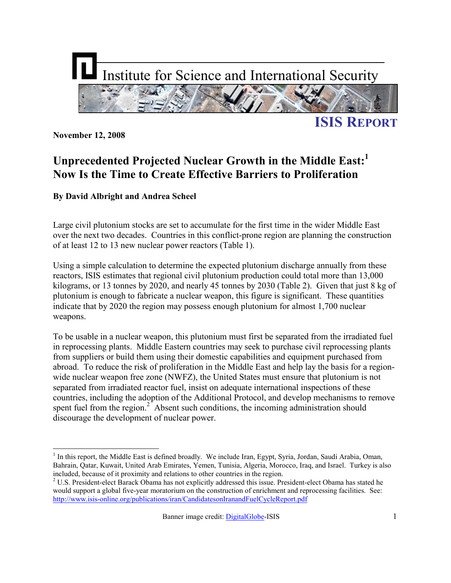

**November 12, 2008** 

 $\overline{a}$ 

## **Unprecedented Projected Nuclear Growth in the Middle East:<sup>1</sup> Now Is the Time to Create Effective Barriers to Proliferation**

#### **By David Albright and Andrea Scheel**

Large civil plutonium stocks are set to accumulate for the first time in the wider Middle East over the next two decades. Countries in this conflict-prone region are planning the construction of at least 12 to 13 new nuclear power reactors (Table 1).

Using a simple calculation to determine the expected plutonium discharge annually from these reactors, ISIS estimates that regional civil plutonium production could total more than 13,000 kilograms, or 13 tonnes by 2020, and nearly 45 tonnes by 2030 (Table 2). Given that just 8 kg of plutonium is enough to fabricate a nuclear weapon, this figure is significant. These quantities indicate that by 2020 the region may possess enough plutonium for almost 1,700 nuclear weapons.

To be usable in a nuclear weapon, this plutonium must first be separated from the irradiated fuel in reprocessing plants. Middle Eastern countries may seek to purchase civil reprocessing plants from suppliers or build them using their domestic capabilities and equipment purchased from abroad. To reduce the risk of proliferation in the Middle East and help lay the basis for a regionwide nuclear weapon free zone (NWFZ), the United States must ensure that plutonium is not separated from irradiated reactor fuel, insist on adequate international inspections of these countries, including the adoption of the Additional Protocol, and develop mechanisms to remove spent fuel from the region. $2^{\degree}$  Absent such conditions, the incoming administration should discourage the development of nuclear power.

<sup>&</sup>lt;sup>1</sup> In this report, the Middle East is defined broadly. We include Iran, Egypt, Syria, Jordan, Saudi Arabia, Oman, Bahrain, Qatar, Kuwait, United Arab Emirates, Yemen, Tunisia, Algeria, Morocco, Iraq, and Israel. Turkey is also included, because of it proximity and relations to other countries in the region.

 $2$  U.S. President-elect Barack Obama has not explicitly addressed this issue. President-elect Obama has stated he would support a global five-year moratorium on the construction of enrichment and reprocessing facilities. See: http://www.isis-online.org/publications/iran/CandidatesonIranandFuelCycleReport.pdf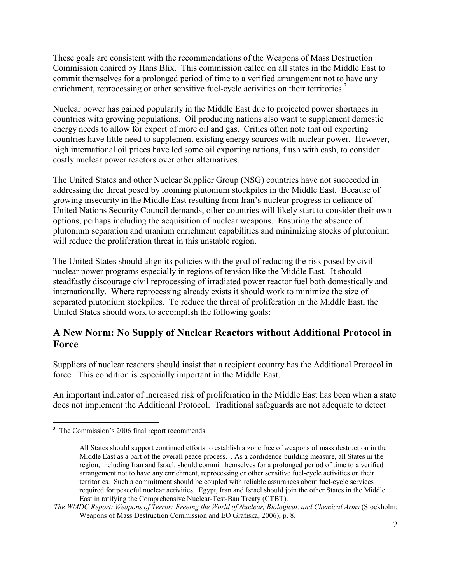These goals are consistent with the recommendations of the Weapons of Mass Destruction Commission chaired by Hans Blix. This commission called on all states in the Middle East to commit themselves for a prolonged period of time to a verified arrangement not to have any enrichment, reprocessing or other sensitive fuel-cycle activities on their territories.<sup>3</sup>

Nuclear power has gained popularity in the Middle East due to projected power shortages in countries with growing populations. Oil producing nations also want to supplement domestic energy needs to allow for export of more oil and gas. Critics often note that oil exporting countries have little need to supplement existing energy sources with nuclear power. However, high international oil prices have led some oil exporting nations, flush with cash, to consider costly nuclear power reactors over other alternatives.

The United States and other Nuclear Supplier Group (NSG) countries have not succeeded in addressing the threat posed by looming plutonium stockpiles in the Middle East. Because of growing insecurity in the Middle East resulting from Iran's nuclear progress in defiance of United Nations Security Council demands, other countries will likely start to consider their own options, perhaps including the acquisition of nuclear weapons. Ensuring the absence of plutonium separation and uranium enrichment capabilities and minimizing stocks of plutonium will reduce the proliferation threat in this unstable region.

The United States should align its policies with the goal of reducing the risk posed by civil nuclear power programs especially in regions of tension like the Middle East. It should steadfastly discourage civil reprocessing of irradiated power reactor fuel both domestically and internationally. Where reprocessing already exists it should work to minimize the size of separated plutonium stockpiles. To reduce the threat of proliferation in the Middle East, the United States should work to accomplish the following goals:

#### **A New Norm: No Supply of Nuclear Reactors without Additional Protocol in Force**

Suppliers of nuclear reactors should insist that a recipient country has the Additional Protocol in force. This condition is especially important in the Middle East.

An important indicator of increased risk of proliferation in the Middle East has been when a state does not implement the Additional Protocol. Traditional safeguards are not adequate to detect

 $\overline{a}$ <sup>3</sup> The Commission's 2006 final report recommends:

All States should support continued efforts to establish a zone free of weapons of mass destruction in the Middle East as a part of the overall peace process… As a confidence-building measure, all States in the region, including Iran and Israel, should commit themselves for a prolonged period of time to a verified arrangement not to have any enrichment, reprocessing or other sensitive fuel-cycle activities on their territories. Such a commitment should be coupled with reliable assurances about fuel-cycle services required for peaceful nuclear activities. Egypt, Iran and Israel should join the other States in the Middle East in ratifying the Comprehensive Nuclear-Test-Ban Treaty (CTBT).

*The WMDC Report: Weapons of Terror: Freeing the World of Nuclear, Biological, and Chemical Arms* (Stockholm: Weapons of Mass Destruction Commission and EO Grafiska, 2006), p. 8.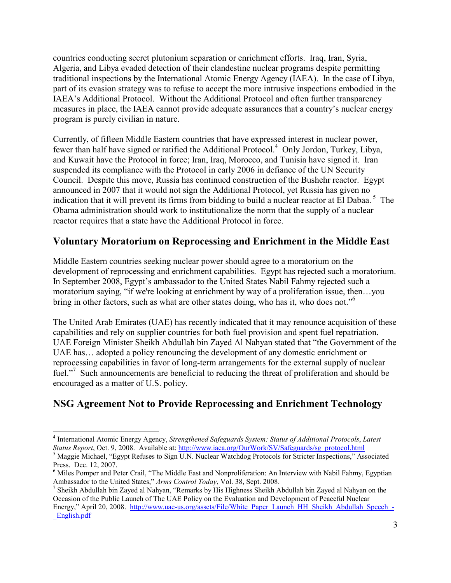countries conducting secret plutonium separation or enrichment efforts. Iraq, Iran, Syria, Algeria, and Libya evaded detection of their clandestine nuclear programs despite permitting traditional inspections by the International Atomic Energy Agency (IAEA). In the case of Libya, part of its evasion strategy was to refuse to accept the more intrusive inspections embodied in the IAEA's Additional Protocol. Without the Additional Protocol and often further transparency measures in place, the IAEA cannot provide adequate assurances that a country's nuclear energy program is purely civilian in nature.

Currently, of fifteen Middle Eastern countries that have expressed interest in nuclear power, fewer than half have signed or ratified the Additional Protocol.<sup>4</sup> Only Jordon, Turkey, Libya, and Kuwait have the Protocol in force; Iran, Iraq, Morocco, and Tunisia have signed it. Iran suspended its compliance with the Protocol in early 2006 in defiance of the UN Security Council. Despite this move, Russia has continued construction of the Bushehr reactor. Egypt announced in 2007 that it would not sign the Additional Protocol, yet Russia has given no indication that it will prevent its firms from bidding to build a nuclear reactor at El Dabaa.<sup>5</sup> The Obama administration should work to institutionalize the norm that the supply of a nuclear reactor requires that a state have the Additional Protocol in force.

#### **Voluntary Moratorium on Reprocessing and Enrichment in the Middle East**

Middle Eastern countries seeking nuclear power should agree to a moratorium on the development of reprocessing and enrichment capabilities. Egypt has rejected such a moratorium. In September 2008, Egypt's ambassador to the United States Nabil Fahmy rejected such a moratorium saying, "if we're looking at enrichment by way of a proliferation issue, then…you bring in other factors, such as what are other states doing, who has it, who does not."<sup>6</sup>

The United Arab Emirates (UAE) has recently indicated that it may renounce acquisition of these capabilities and rely on supplier countries for both fuel provision and spent fuel repatriation. UAE Foreign Minister Sheikh Abdullah bin Zayed Al Nahyan stated that "the Government of the UAE has… adopted a policy renouncing the development of any domestic enrichment or reprocessing capabilities in favor of long-term arrangements for the external supply of nuclear fuel."<sup>7</sup> Such announcements are beneficial to reducing the threat of proliferation and should be encouraged as a matter of U.S. policy.

### **NSG Agreement Not to Provide Reprocessing and Enrichment Technology**

l

<sup>4</sup> International Atomic Energy Agency, *Strengthened Safeguards System: Status of Additional Protocols*, *Latest Status Report*, Oct. 9, 2008. Available at: http://www.iaea.org/OurWork/SV/Safeguards/sg\_protocol.html

<sup>&</sup>lt;sup>5</sup> Maggie Michael, "Egypt Refuses to Sign U.N. Nuclear Watchdog Protocols for Stricter Inspections," Associated Press. Dec. 12, 2007.

<sup>&</sup>lt;sup>6</sup> Miles Pomper and Peter Crail, "The Middle East and Nonproliferation: An Interview with Nabil Fahmy, Egyptian Ambassador to the United States," *Arms Control Today*, Vol. 38, Sept. 2008.

<sup>&</sup>lt;sup>7</sup> Sheikh Abdullah bin Zayed al Nahyan, "Remarks by His Highness Sheikh Abdullah bin Zayed al Nahyan on the Occasion of the Public Launch of The UAE Policy on the Evaluation and Development of Peaceful Nuclear Energy," April 20, 2008. http://www.uae-us.org/assets/File/White\_Paper\_Launch\_HH\_Sheikh\_Abdullah\_Speech\_-\_English.pdf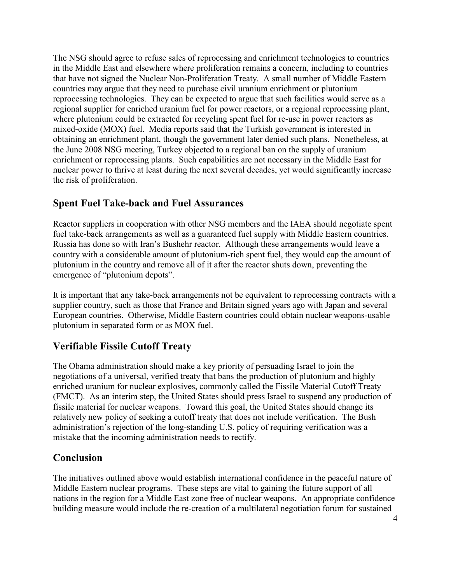The NSG should agree to refuse sales of reprocessing and enrichment technologies to countries in the Middle East and elsewhere where proliferation remains a concern, including to countries that have not signed the Nuclear Non-Proliferation Treaty. A small number of Middle Eastern countries may argue that they need to purchase civil uranium enrichment or plutonium reprocessing technologies. They can be expected to argue that such facilities would serve as a regional supplier for enriched uranium fuel for power reactors, or a regional reprocessing plant, where plutonium could be extracted for recycling spent fuel for re-use in power reactors as mixed-oxide (MOX) fuel. Media reports said that the Turkish government is interested in obtaining an enrichment plant, though the government later denied such plans. Nonetheless, at the June 2008 NSG meeting, Turkey objected to a regional ban on the supply of uranium enrichment or reprocessing plants. Such capabilities are not necessary in the Middle East for nuclear power to thrive at least during the next several decades, yet would significantly increase the risk of proliferation.

#### **Spent Fuel Take-back and Fuel Assurances**

Reactor suppliers in cooperation with other NSG members and the IAEA should negotiate spent fuel take-back arrangements as well as a guaranteed fuel supply with Middle Eastern countries. Russia has done so with Iran's Bushehr reactor. Although these arrangements would leave a country with a considerable amount of plutonium-rich spent fuel, they would cap the amount of plutonium in the country and remove all of it after the reactor shuts down, preventing the emergence of "plutonium depots".

It is important that any take-back arrangements not be equivalent to reprocessing contracts with a supplier country, such as those that France and Britain signed years ago with Japan and several European countries. Otherwise, Middle Eastern countries could obtain nuclear weapons-usable plutonium in separated form or as MOX fuel.

#### **Verifiable Fissile Cutoff Treaty**

The Obama administration should make a key priority of persuading Israel to join the negotiations of a universal, verified treaty that bans the production of plutonium and highly enriched uranium for nuclear explosives, commonly called the Fissile Material Cutoff Treaty (FMCT). As an interim step, the United States should press Israel to suspend any production of fissile material for nuclear weapons. Toward this goal, the United States should change its relatively new policy of seeking a cutoff treaty that does not include verification. The Bush administration's rejection of the long-standing U.S. policy of requiring verification was a mistake that the incoming administration needs to rectify.

#### **Conclusion**

The initiatives outlined above would establish international confidence in the peaceful nature of Middle Eastern nuclear programs. These steps are vital to gaining the future support of all nations in the region for a Middle East zone free of nuclear weapons. An appropriate confidence building measure would include the re-creation of a multilateral negotiation forum for sustained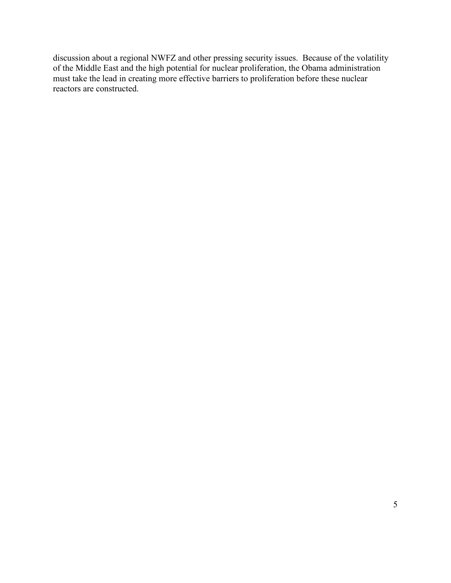discussion about a regional NWFZ and other pressing security issues. Because of the volatility of the Middle East and the high potential for nuclear proliferation, the Obama administration must take the lead in creating more effective barriers to proliferation before these nuclear reactors are constructed.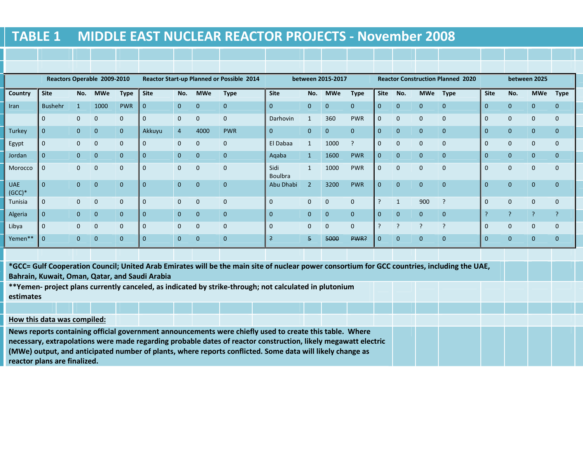# **TABLE 1 MIDDLE EAST NUCLEAR REACTOR PROJECTS - November 2008**

|                        | Reactors Operable 2009-2010 |                |              |                | <b>Reactor Start-up Planned or Possible 2014</b> |                |                | between 2015-2017 |                 |                |                | <b>Reactor Construction Planned 2020</b> |                          |                |                |                | between 2025   |                |                |                |
|------------------------|-----------------------------|----------------|--------------|----------------|--------------------------------------------------|----------------|----------------|-------------------|-----------------|----------------|----------------|------------------------------------------|--------------------------|----------------|----------------|----------------|----------------|----------------|----------------|----------------|
| Country                | <b>Site</b>                 | No.            | <b>MWe</b>   | <b>Type</b>    | <b>Site</b>                                      | No.            | <b>MWe</b>     | <b>Type</b>       | <b>Site</b>     | No.            | <b>MWe</b>     | <b>Type</b>                              | <b>Site</b>              | No.            | <b>MWe</b>     | <b>Type</b>    | <b>Site</b>    | No.            | <b>MWe</b>     | Type           |
| Iran                   | <b>Bushehr</b>              | 1              | 1000         | <b>PWR</b>     | $\overline{0}$                                   | $\overline{0}$ | $\mathbf{0}$   | $\overline{0}$    | $\Omega$        | $\overline{0}$ | $\overline{0}$ | $\overline{0}$                           | $\mathbf{0}$             | $\mathbf{0}$   | $\overline{0}$ | $\mathbf{0}$   | $\overline{0}$ | $\overline{0}$ | $\overline{0}$ | $\mathbf{0}$   |
|                        | $\mathbf{0}$                | $\mathbf{0}$   | $\mathbf 0$  | $\mathbf{0}$   | $\overline{0}$                                   | $\Omega$       | $\mathbf 0$    | $\mathbf{0}$      | <b>Darhovin</b> |                | 360            | <b>PWR</b>                               | $\mathbf 0$              | $\mathbf 0$    | $\mathbf{0}$   | $\mathbf{0}$   | $\Omega$       | $\mathbf{0}$   | $\mathbf{0}$   | $\mathbf{0}$   |
| Turkey                 | $\mathbf{0}$                | $\overline{0}$ | $\mathbf{0}$ | $\overline{0}$ | Akkuyu                                           | 4              | 4000           | <b>PWR</b>        | $\Omega$        | $\overline{0}$ | $\overline{0}$ | $\mathbf{0}$                             | $\mathbf{0}$             | $\mathbf{0}$   | $\overline{0}$ | $\mathbf{0}$   | $\mathbf{0}$   | $\overline{0}$ | $\overline{0}$ | $\mathbf{0}$   |
| Egypt                  | $\mathbf{0}$                | $\mathbf{0}$   | $\mathbf 0$  | $\mathbf{0}$   | $\overline{0}$                                   | $\overline{0}$ | $\mathbf{0}$   | $\mathbf{0}$      | El Dabaa        |                | 1000           | ?                                        | $\mathbf{0}$             | $\mathbf{0}$   | $\mathbf{0}$   | $\mathbf{0}$   | $\mathbf{0}$   | $\mathbf{0}$   | $\mathbf{0}$   | $\mathbf{0}$   |
| Jordan                 | $\mathbf{0}$                | $\overline{0}$ | $\mathbf{0}$ | $\mathbf{0}$   | $\overline{0}$                                   | $\overline{0}$ | $\overline{0}$ | $\mathbf{0}$      | Aqaba           |                | 1600           | <b>PWR</b>                               | $\mathbf{0}$             | $\mathbf{0}$   | $\mathbf{0}$   | $\mathbf{0}$   | $\mathbf{0}$   | $\overline{0}$ | $\mathbf{0}$   | $\overline{0}$ |
| Morocco                | $\mathbf 0$                 | $\mathbf{0}$   | $\mathbf 0$  | $\mathbf{0}$   | $\mathbf 0$                                      | $\overline{0}$ | $\mathbf{0}$   | $\mathbf{0}$      | Sidi<br>Boulbra | $\mathbf{1}$   | 1000           | <b>PWR</b>                               | $\mathbf 0$              | $\mathbf 0$    | $\mathbf{0}$   | $\mathbf{0}$   | $\mathbf{0}$   | $\mathbf{0}$   | $\mathbf{0}$   | $\mathbf{0}$   |
| <b>UAE</b><br>$(GCC)*$ | $\mathbf{0}$                | $\Omega$       | $\mathbf{0}$ | $\mathbf{0}$   | $\overline{0}$                                   | $\Omega$       | $\overline{0}$ | $\mathbf{0}$      | Abu Dhabi       | <sup>2</sup>   | 3200           | <b>PWR</b>                               | $\mathbf{0}$             | $\overline{0}$ | $\mathbf{0}$   | $\mathbf{0}$   | $\mathbf{0}$   | $\overline{0}$ | $\mathbf{0}$   | $\Omega$       |
| Tunisia                | $\mathbf 0$                 | $\mathbf{0}$   | $\mathbf 0$  | $\mathbf{0}$   | $\overline{0}$                                   | $\overline{0}$ | $\mathbf{0}$   | $\mathbf{0}$      | $\Omega$        | $\mathbf{0}$   | $\mathbf{0}$   | $\mathbf{0}$                             | - 2                      |                | 900            | ?              | $\mathbf{0}$   | $\mathbf{0}$   | $\mathbf{0}$   | $\mathbf{0}$   |
| Algeria                | $\overline{0}$              | $\overline{0}$ | $\mathbf{0}$ | $\overline{0}$ | $\overline{0}$                                   | $\overline{0}$ | $\overline{0}$ | $\overline{0}$    | $\Omega$        | $\overline{0}$ | $\mathbf{0}$   | $\overline{0}$                           | $\mathbf{0}$             | $\overline{0}$ | $\overline{0}$ | $\overline{0}$ | $\mathbf{a}$   | ?              | P              | $\cdot$        |
| Libya                  | $\mathbf{0}$                | $\mathbf{0}$   | $\mathbf 0$  | $\mathbf{0}$   | $\mathbf{0}$                                     | $\Omega$       | $\mathbf{0}$   | $\mathbf{0}$      | $\Omega$        | $\mathbf{0}$   | $\mathbf{0}$   | $\mathbf{0}$                             | $\overline{\phantom{0}}$ | ?              | $\cdot$        | $\overline{?}$ | $\mathbf{0}$   | $\overline{0}$ | $\mathbf{0}$   | $\mathbf{0}$   |
| Yemen**                | $\overline{0}$              | $\Omega$       | $\mathbf{0}$ | $\mathbf{0}$   | $\overline{0}$                                   | $\overline{0}$ | $\overline{0}$ | $\mathbf{0}$      | $\rightarrow$   | 5 <sub>1</sub> | 5000           | PWR?                                     | $\mathbf{0}$             | $\overline{0}$ | $\overline{0}$ | $\mathbf{0}$   | $\Omega$       | $\overline{0}$ | $\mathbf{0}$   | $\mathbf{0}$   |
|                        |                             |                |              |                |                                                  |                |                |                   |                 |                |                |                                          |                          |                |                |                |                |                |                |                |

**\*GCC= Gulf Cooperation Council; United Arab Emirates will be the main site of nuclear power consortium for GCC countries, including the UAE, Bahrain, Kuwait, Oman, Qatar, and Saudi Arabia** 

**\*\*Yemen- project plans currently canceled, as indicated by strike-through; not calculated in plutoniumestimates** 

#### **How this data was compiled:**

**News reports containing official government announcements were chiefly used to create this table. Where necessary, extrapolations were made regarding probable dates of reactor construction, likely megawatt electric (MWe) output, and anticipated number of plants, where reports conflicted. Some data will likely change as reactor plans are finalized.**